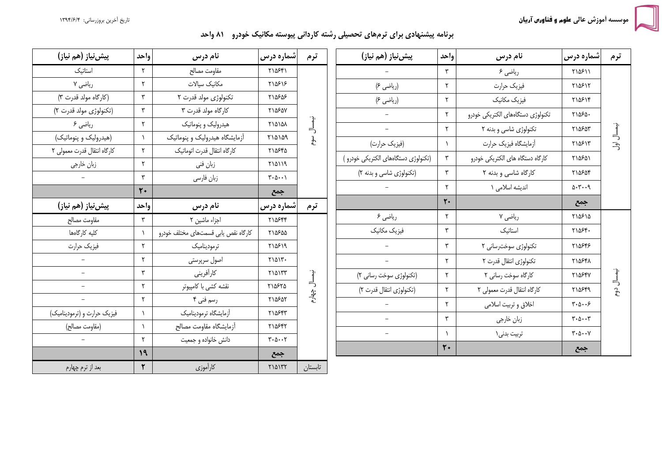تاريخ أخرين بروزرساني: ١٣٩۴/۶/۴

سه اَموزش عالی **علوم و فناورس آریان** 

برنامه پیشنهادی برای ترمهای تحصیلی رشته کاردانی پیوسته مکانیک خودرو ۸۱ واحد

| پیش نیاز (هم نیاز)          | واحد                 | نام درس                             | شماره درس                                            | ترم          | پیش نیاز (هم نیاز)                  | واحد                 | نام درس                           | شماره درس                                      | ترم        |
|-----------------------------|----------------------|-------------------------------------|------------------------------------------------------|--------------|-------------------------------------|----------------------|-----------------------------------|------------------------------------------------|------------|
| استاتيك                     | $\mathsf{r}$         | مقاومت مصالح                        | ٢١۵۶۴١                                               |              |                                     | ٣                    | رياضي ۶                           | ٢١۵۶١١                                         |            |
| ریاضی ۷                     | ٢                    | مكانيك سيالات                       | ٢١۵۶١۶                                               |              | (ریاضی ۶)                           | ٢                    | فيزيك حرارت                       | ٢١۵۶١٢                                         |            |
| (کارگاه مولد قدرت ۳)        | $\mathsf{r}$         | تکنولوژی مولد قدرت ۲                | ٢١۵۶۵۶                                               |              | (ریاضی ۶)                           | ٢                    | فيزيك مكانيك                      | ٢١۵۶١۴                                         |            |
| (تكنولوژى مولد قدرت ٢)      | $\mathbf{\breve{y}}$ | کارگاه مولد قدرت ۳                  | ٢١۵۶۵٧                                               |              |                                     | ٢                    | تكنولوژي دستگاههاي الكتريكي خودرو | ٢١۵۶٥٠                                         |            |
| ریاضی ۶                     | ٢                    | هیدرولیک و پنوماتیک                 | ٢١٥١٥٨                                               | نيمسال       | $\equiv$                            | ٢                    | تکنولوژی شاسی و بدنه ۲            | ٢١۵۶۵٣                                         |            |
| (هیدرولیک و پنوماتیک)       | $\lambda$            | آزمایشگاه هیدرولیک و پنوماتیک       | <b>710109</b>                                        | مهم          | (فیزیک حرارت)                       | $\lambda$            | أزمايشكاه فيزيك حرارت             | ٢١۵۶١٣                                         | نيمسال اول |
| كارگاه انتقال قدرت معمولى ٢ | ٢                    | كارگاه انتقال قدرت اتوماتيك         | ٢١۵۶۴۵                                               |              | (تکنولوژی دستگاههای الکتریکی خودرو) | ٣                    | کارگاه دستگاه های الکتریکی خودرو  | ٢١۵۶۵١                                         |            |
| زبان خارجي                  | ٢                    | زبان فني                            | <b>710119</b>                                        |              | (تکنولوژی شاسی و بدنه ۲)            | $\mathbf{\breve{r}}$ | کارگاه شاسی و بدنه ۲              | ٢١۵۶۵۴                                         |            |
|                             | $\mathbf{r}$         | زبان فارسى                          | $\mathbf{y} \cdot \mathbf{y} \cdot \cdot \mathbf{y}$ |              |                                     |                      |                                   |                                                |            |
|                             | $\mathbf{r}$         |                                     | جمع                                                  |              |                                     | ٢                    | اندیشه اسلامی ۱                   | 0.7.9                                          |            |
| پیشینیاز (هم نیاز)          | واحد                 | نام درس                             | شماره درس                                            | ترم          |                                     | $\mathbf{r}$ .       |                                   | جمع                                            |            |
| مقاومت مصالح                | $\mathsf{r}$         | اجزاء ماشين ٢                       | ٢١۵۶۴۴                                               |              | ریاضی ۶                             | ٢                    | ریاضی ۷                           | ٢١۵۶١۵                                         |            |
| كليه كارگاهها               | $\lambda$            | كاركاه نقص يابى قسمتهاى مختلف خودرو | ٢١۵۶۵۵                                               |              | فیزیک مکانیک                        | ٣                    | استاتيک                           | $Y \setminus \Delta \mathcal{F}$ .             |            |
| فيزيك حرارت                 | ٢                    | ترموديناميك                         | ٢١۵۶١٩                                               |              |                                     | ٣                    | تکنولوژی سوخت رسانی ۲             | ٢١۵۶۴۶                                         |            |
|                             | ٢                    | اصول سرپرستی                        | $Y \setminus \Delta \setminus Y$ .                   |              | $\overline{\phantom{0}}$            | ٢                    | تكنولوژي انتقال قدرت ٢            | ٢١۵۶۴٨                                         |            |
| $\equiv$                    | $\mathbf{r}$         | كارأفريني                           | ٢١۵١٣٣                                               |              | (تکنولوژی سوخت رسانی ۲)             | ٢                    | كارگاه سوخت رسانى ٢               | <b>٢١۵۶۴٧</b>                                  |            |
|                             | ٢                    | نقشه كشى با كامپيوتر                | ٢١۵۶٢۵                                               | نيمسال چهارء | (تكنولوژى انتقال قدرت ٢)            | ٢                    | كاركاه انتقال قدرت معمولي ٢       | ٢١۵۶۴۹                                         | نيمسال دوم |
| $\equiv$                    | $\Upsilon$           | رسم فنی ۴                           | ٢١۵۶۵٢                                               |              |                                     | ٢                    | اخلاق و تربيت اسلامي              | $\mathbf{r}\cdot\mathbf{r}\cdot\mathbf{r}$     |            |
| فیزیک حرارت و (ترمودینامیک) | $\lambda$            | أزمايشگاه ترموديناميك               | ٢١۵۶۴٣                                               |              | $\equiv$                            | ٣                    | زبان خارجي                        | $\mathbf{r} \cdot \mathbf{r} \cdot \mathbf{r}$ |            |
| (مقاومت مصالح)              | $\lambda$            | أزمايشكاه مقاومت مصالح              | ٢١۵۶۴٢                                               |              | $\overline{\phantom{0}}$            | $\lambda$            |                                   | $\mathbf{y} \cdot \mathbf{y} \cdot \mathbf{y}$ |            |
|                             | ٢                    | دانش خانواده و جمعیت                | $\mathbf{r} \cdot \mathbf{r} \cdot \mathbf{r}$       |              |                                     |                      | تربیت بدنی\                       |                                                |            |
|                             | 19                   |                                     | جمع                                                  |              |                                     | $\mathbf{r}$         |                                   | جمع                                            |            |
| بعد از ترم چهارم            | ٢                    | كارأموزي                            | <b>٢١۵١٣٢</b>                                        | تابستان      |                                     |                      |                                   |                                                |            |